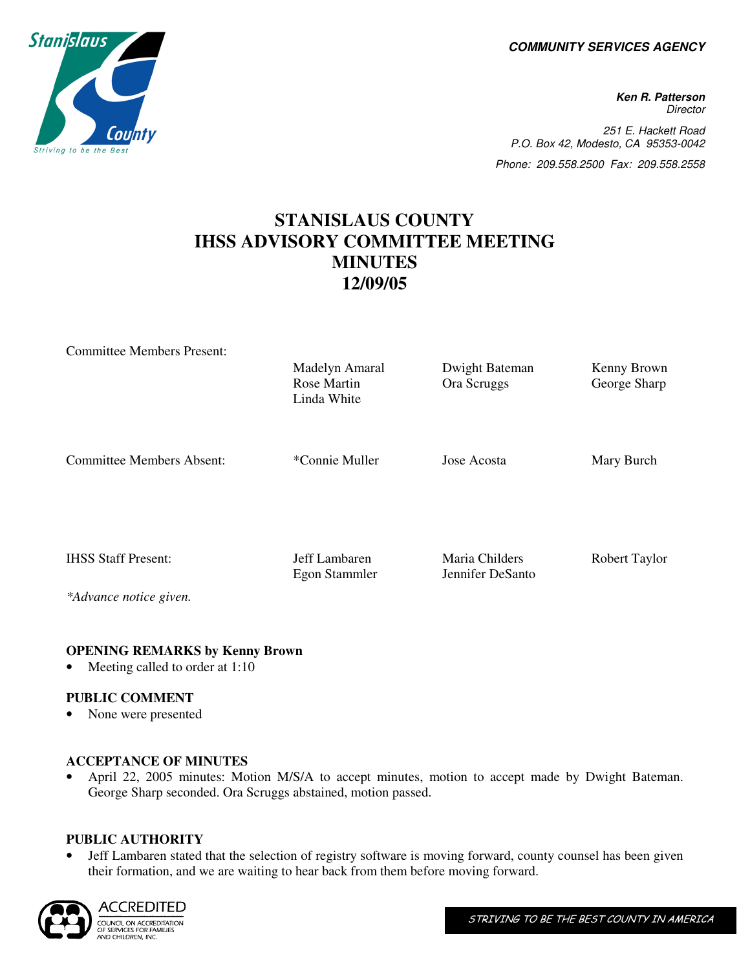**COMMUNITY SERVICES AGENCY** 

**Ken R. Patterson Director** 251 E. Hackett Road P.O. Box 42, Modesto, CA 95353-0042 Phone: 209.558.2500 Fax: 209.558.2558

# **STANISLAUS COUNTY IHSS ADVISORY COMMITTEE MEETING MINUTES 12/09/05**

| <b>Committee Members Present:</b> |                                |                                    |               |
|-----------------------------------|--------------------------------|------------------------------------|---------------|
|                                   | Madelyn Amaral                 | Dwight Bateman                     | Kenny Brown   |
|                                   | Rose Martin<br>Linda White     | Ora Scruggs                        | George Sharp  |
| <b>Committee Members Absent:</b>  | *Connie Muller                 | Jose Acosta                        | Mary Burch    |
| <b>IHSS Staff Present:</b>        | Jeff Lambaren<br>Egon Stammler | Maria Childers<br>Jennifer DeSanto | Robert Taylor |
| *Advance notice given.            |                                |                                    |               |

## **OPENING REMARKS by Kenny Brown**

Meeting called to order at 1:10

## **PUBLIC COMMENT**

• None were presented

# **ACCEPTANCE OF MINUTES**

• April 22, 2005 minutes: Motion M/S/A to accept minutes, motion to accept made by Dwight Bateman. George Sharp seconded. Ora Scruggs abstained, motion passed.

## **PUBLIC AUTHORITY**

• Jeff Lambaren stated that the selection of registry software is moving forward, county counsel has been given their formation, and we are waiting to hear back from them before moving forward.



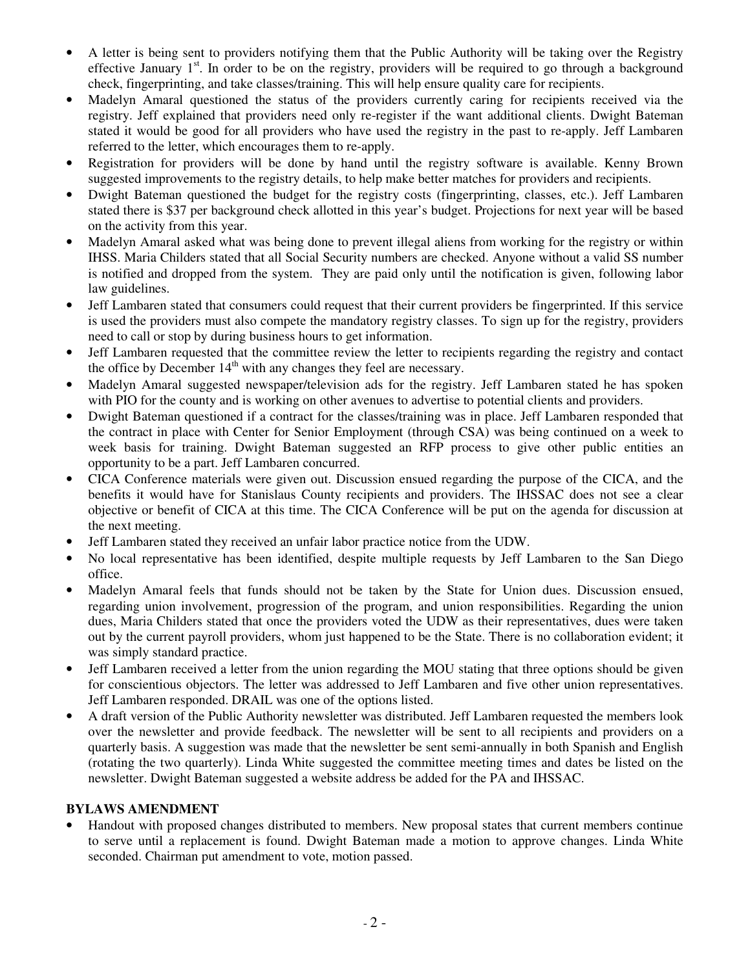- A letter is being sent to providers notifying them that the Public Authority will be taking over the Registry effective January  $1<sup>st</sup>$ . In order to be on the registry, providers will be required to go through a background check, fingerprinting, and take classes/training. This will help ensure quality care for recipients.
- Madelyn Amaral questioned the status of the providers currently caring for recipients received via the registry. Jeff explained that providers need only re-register if the want additional clients. Dwight Bateman stated it would be good for all providers who have used the registry in the past to re-apply. Jeff Lambaren referred to the letter, which encourages them to re-apply.
- Registration for providers will be done by hand until the registry software is available. Kenny Brown suggested improvements to the registry details, to help make better matches for providers and recipients.
- Dwight Bateman questioned the budget for the registry costs (fingerprinting, classes, etc.). Jeff Lambaren stated there is \$37 per background check allotted in this year's budget. Projections for next year will be based on the activity from this year.
- Madelyn Amaral asked what was being done to prevent illegal aliens from working for the registry or within IHSS. Maria Childers stated that all Social Security numbers are checked. Anyone without a valid SS number is notified and dropped from the system. They are paid only until the notification is given, following labor law guidelines.
- Jeff Lambaren stated that consumers could request that their current providers be fingerprinted. If this service is used the providers must also compete the mandatory registry classes. To sign up for the registry, providers need to call or stop by during business hours to get information.
- Jeff Lambaren requested that the committee review the letter to recipients regarding the registry and contact the office by December  $14<sup>th</sup>$  with any changes they feel are necessary.
- Madelyn Amaral suggested newspaper/television ads for the registry. Jeff Lambaren stated he has spoken with PIO for the county and is working on other avenues to advertise to potential clients and providers.
- Dwight Bateman questioned if a contract for the classes/training was in place. Jeff Lambaren responded that the contract in place with Center for Senior Employment (through CSA) was being continued on a week to week basis for training. Dwight Bateman suggested an RFP process to give other public entities an opportunity to be a part. Jeff Lambaren concurred.
- CICA Conference materials were given out. Discussion ensued regarding the purpose of the CICA, and the benefits it would have for Stanislaus County recipients and providers. The IHSSAC does not see a clear objective or benefit of CICA at this time. The CICA Conference will be put on the agenda for discussion at the next meeting.
- Jeff Lambaren stated they received an unfair labor practice notice from the UDW.
- No local representative has been identified, despite multiple requests by Jeff Lambaren to the San Diego office.
- Madelyn Amaral feels that funds should not be taken by the State for Union dues. Discussion ensued, regarding union involvement, progression of the program, and union responsibilities. Regarding the union dues, Maria Childers stated that once the providers voted the UDW as their representatives, dues were taken out by the current payroll providers, whom just happened to be the State. There is no collaboration evident; it was simply standard practice.
- Jeff Lambaren received a letter from the union regarding the MOU stating that three options should be given for conscientious objectors. The letter was addressed to Jeff Lambaren and five other union representatives. Jeff Lambaren responded. DRAIL was one of the options listed.
- A draft version of the Public Authority newsletter was distributed. Jeff Lambaren requested the members look over the newsletter and provide feedback. The newsletter will be sent to all recipients and providers on a quarterly basis. A suggestion was made that the newsletter be sent semi-annually in both Spanish and English (rotating the two quarterly). Linda White suggested the committee meeting times and dates be listed on the newsletter. Dwight Bateman suggested a website address be added for the PA and IHSSAC.

# **BYLAWS AMENDMENT**

• Handout with proposed changes distributed to members. New proposal states that current members continue to serve until a replacement is found. Dwight Bateman made a motion to approve changes. Linda White seconded. Chairman put amendment to vote, motion passed.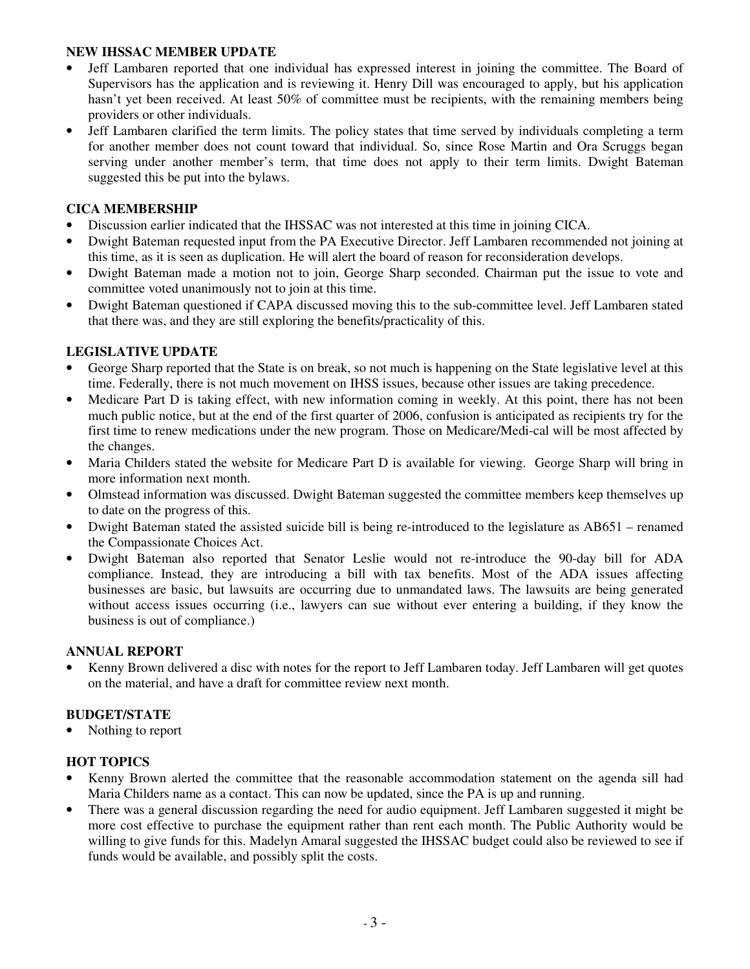## **NEW IHSSAC MEMBER UPDATE**

- Jeff Lambaren reported that one individual has expressed interest in joining the committee. The Board of Supervisors has the application and is reviewing it. Henry Dill was encouraged to apply, but his application hasn't yet been received. At least 50% of committee must be recipients, with the remaining members being providers or other individuals.
- Jeff Lambaren clarified the term limits. The policy states that time served by individuals completing a term for another member does not count toward that individual. So, since Rose Martin and Ora Scruggs began serving under another member's term, that time does not apply to their term limits. Dwight Bateman suggested this be put into the bylaws.

# **CICA MEMBERSHIP**

- Discussion earlier indicated that the IHSSAC was not interested at this time in joining CICA.
- Dwight Bateman requested input from the PA Executive Director. Jeff Lambaren recommended not joining at this time, as it is seen as duplication. He will alert the board of reason for reconsideration develops.
- Dwight Bateman made a motion not to join, George Sharp seconded. Chairman put the issue to vote and committee voted unanimously not to join at this time.
- Dwight Bateman questioned if CAPA discussed moving this to the sub-committee level. Jeff Lambaren stated that there was, and they are still exploring the benefits/practicality of this.

# **LEGISLATIVE UPDATE**

- George Sharp reported that the State is on break, so not much is happening on the State legislative level at this time. Federally, there is not much movement on IHSS issues, because other issues are taking precedence.
- Medicare Part D is taking effect, with new information coming in weekly. At this point, there has not been much public notice, but at the end of the first quarter of 2006, confusion is anticipated as recipients try for the first time to renew medications under the new program. Those on Medicare/Medi-cal will be most affected by the changes.
- Maria Childers stated the website for Medicare Part D is available for viewing. George Sharp will bring in more information next month.
- Olmstead information was discussed. Dwight Bateman suggested the committee members keep themselves up to date on the progress of this.
- Dwight Bateman stated the assisted suicide bill is being re-introduced to the legislature as AB651 renamed the Compassionate Choices Act.
- Dwight Bateman also reported that Senator Leslie would not re-introduce the 90-day bill for ADA compliance. Instead, they are introducing a bill with tax benefits. Most of the ADA issues affecting businesses are basic, but lawsuits are occurring due to unmandated laws. The lawsuits are being generated without access issues occurring (i.e., lawyers can sue without ever entering a building, if they know the business is out of compliance.)

## **ANNUAL REPORT**

• Kenny Brown delivered a disc with notes for the report to Jeff Lambaren today. Jeff Lambaren will get quotes on the material, and have a draft for committee review next month.

# **BUDGET/STATE**

• Nothing to report

## **HOT TOPICS**

- Kenny Brown alerted the committee that the reasonable accommodation statement on the agenda sill had Maria Childers name as a contact. This can now be updated, since the PA is up and running.
- There was a general discussion regarding the need for audio equipment. Jeff Lambaren suggested it might be more cost effective to purchase the equipment rather than rent each month. The Public Authority would be willing to give funds for this. Madelyn Amaral suggested the IHSSAC budget could also be reviewed to see if funds would be available, and possibly split the costs.